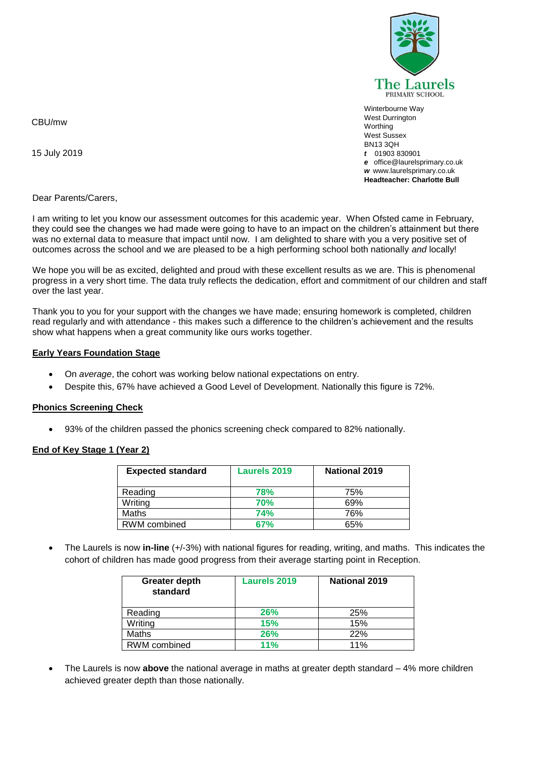

Winterbourne Way West Durrington **Worthing** West Sussex BN13 3QH *t* 01903 830901 *e* office@laurelsprimary.co.uk *w* www.laurelsprimary.co.uk **Headteacher: Charlotte Bull**

CBU/mw

15 July 2019

Dear Parents/Carers,

I am writing to let you know our assessment outcomes for this academic year. When Ofsted came in February, they could see the changes we had made were going to have to an impact on the children's attainment but there was no external data to measure that impact until now. I am delighted to share with you a very positive set of outcomes across the school and we are pleased to be a high performing school both nationally *and* locally!

We hope you will be as excited, delighted and proud with these excellent results as we are. This is phenomenal progress in a very short time. The data truly reflects the dedication, effort and commitment of our children and staff over the last year.

Thank you to you for your support with the changes we have made; ensuring homework is completed, children read regularly and with attendance - this makes such a difference to the children's achievement and the results show what happens when a great community like ours works together.

### **Early Years Foundation Stage**

- On *average*, the cohort was working below national expectations on entry.
- Despite this, 67% have achieved a Good Level of Development. Nationally this figure is 72%.

### **Phonics Screening Check**

93% of the children passed the phonics screening check compared to 82% nationally.

### **End of Key Stage 1 (Year 2)**

| <b>Expected standard</b> | Laurels 2019 | <b>National 2019</b> |
|--------------------------|--------------|----------------------|
| Reading                  | 78%          | 75%                  |
| Writing                  | <b>70%</b>   | 69%                  |
| Maths                    | <b>74%</b>   | 76%                  |
| RWM combined             | 67%          | 65%                  |

 The Laurels is now **in-line** (+/-3%) with national figures for reading, writing, and maths. This indicates the cohort of children has made good progress from their average starting point in Reception.

| <b>Greater depth</b><br>standard | <b>Laurels 2019</b> | <b>National 2019</b> |
|----------------------------------|---------------------|----------------------|
| Reading                          | <b>26%</b>          | 25%                  |
| Writing                          | <b>15%</b>          | 15%                  |
| Maths                            | <b>26%</b>          | 22%                  |
| RWM combined                     | 11%                 | 11%                  |

 The Laurels is now **above** the national average in maths at greater depth standard – 4% more children achieved greater depth than those nationally.